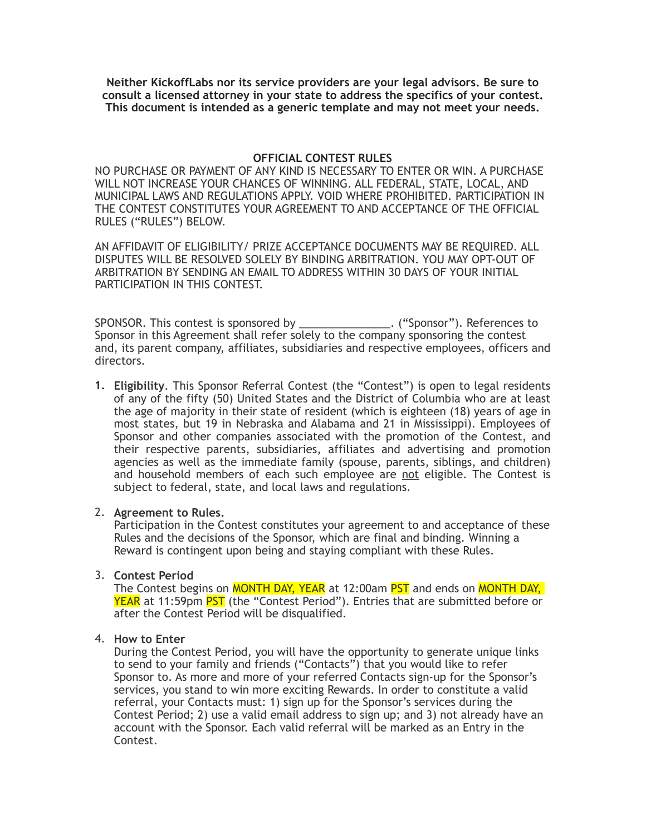**Neither KickoffLabs nor its service providers are your legal advisors. Be sure to consult a licensed attorney in your state to address the specifics of your contest. This document is intended as a generic template and may not meet your needs.** 

## **OFFICIAL CONTEST RULES**

NO PURCHASE OR PAYMENT OF ANY KIND IS NECESSARY TO ENTER OR WIN. A PURCHASE WILL NOT INCREASE YOUR CHANCES OF WINNING. ALL FEDERAL, STATE, LOCAL, AND MUNICIPAL LAWS AND REGULATIONS APPLY. VOID WHERE PROHIBITED. PARTICIPATION IN THE CONTEST CONSTITUTES YOUR AGREEMENT TO AND ACCEPTANCE OF THE OFFICIAL RULES ("RULES") BELOW.

AN AFFIDAVIT OF ELIGIBILITY/ PRIZE ACCEPTANCE DOCUMENTS MAY BE REQUIRED. ALL DISPUTES WILL BE RESOLVED SOLELY BY BINDING ARBITRATION. YOU MAY OPT-OUT OF ARBITRATION BY SENDING AN EMAIL TO ADDRESS WITHIN 30 DAYS OF YOUR INITIAL PARTICIPATION IN THIS CONTEST.

SPONSOR. This contest is sponsored by \_\_\_\_\_\_\_\_\_\_\_\_\_\_\_. ("Sponsor"). References to Sponsor in this Agreement shall refer solely to the company sponsoring the contest and, its parent company, affiliates, subsidiaries and respective employees, officers and directors.

1. **Eligibility**. This Sponsor Referral Contest (the "Contest") is open to legal residents of any of the fifty (50) United States and the District of Columbia who are at least the age of majority in their state of resident (which is eighteen (18) years of age in most states, but 19 in Nebraska and Alabama and 21 in Mississippi). Employees of Sponsor and other companies associated with the promotion of the Contest, and their respective parents, subsidiaries, affiliates and advertising and promotion agencies as well as the immediate family (spouse, parents, siblings, and children) and household members of each such employee are not eligible. The Contest is subject to federal, state, and local laws and regulations.

## 2. **Agreement to Rules.**

Participation in the Contest constitutes your agreement to and acceptance of these Rules and the decisions of the Sponsor, which are final and binding. Winning a Reward is contingent upon being and staying compliant with these Rules.

# 3. **Contest Period**

The Contest begins on MONTH DAY, YEAR at 12:00am PST and ends on MONTH DAY, YEAR at 11:59pm PST (the "Contest Period"). Entries that are submitted before or after the Contest Period will be disqualified.

## 4. **How to Enter**

During the Contest Period, you will have the opportunity to generate unique links to send to your family and friends ("Contacts") that you would like to refer Sponsor to. As more and more of your referred Contacts sign-up for the Sponsor's services, you stand to win more exciting Rewards. In order to constitute a valid referral, your Contacts must: 1) sign up for the Sponsor's services during the Contest Period; 2) use a valid email address to sign up; and 3) not already have an account with the Sponsor. Each valid referral will be marked as an Entry in the Contest.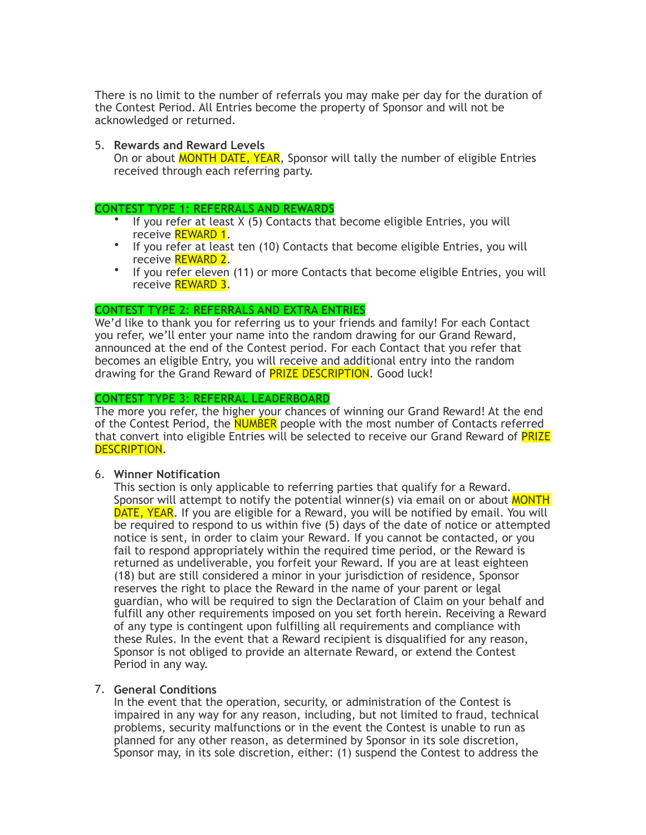There is no limit to the number of referrals you may make per day for the duration of the Contest Period. All Entries become the property of Sponsor and will not be acknowledged or returned.

### 5. **Rewards and Reward Levels**

On or about MONTH DATE, YEAR, Sponsor will tally the number of eligible Entries received through each referring party.

#### **CONTEST TYPE 1: REFERRALS AND REWARDS**

- If you refer at least X (5) Contacts that become eligible Entries, you will receive REWARD 1.
- If you refer at least ten (10) Contacts that become eligible Entries, you will receive REWARD 2.
- If you refer eleven (11) or more Contacts that become eligible Entries, you will receive REWARD 3.

#### **CONTEST TYPE 2: REFERRALS AND EXTRA ENTRIES**

We'd like to thank you for referring us to your friends and family! For each Contact you refer, we'll enter your name into the random drawing for our Grand Reward, announced at the end of the Contest period. For each Contact that you refer that becomes an eligible Entry, you will receive and additional entry into the random drawing for the Grand Reward of **PRIZE DESCRIPTION**. Good luck!

#### **CONTEST TYPE 3: REFERRAL LEADERBOARD**

The more you refer, the higher your chances of winning our Grand Reward! At the end of the Contest Period, the NUMBER people with the most number of Contacts referred that convert into eligible Entries will be selected to receive our Grand Reward of PRIZE DESCRIPTION.

## 6. **Winner Notification**

This section is only applicable to referring parties that qualify for a Reward. Sponsor will attempt to notify the potential winner(s) via email on or about MONTH DATE, YEAR. If you are eligible for a Reward, you will be notified by email. You will be required to respond to us within five (5) days of the date of notice or attempted notice is sent, in order to claim your Reward. If you cannot be contacted, or you fail to respond appropriately within the required time period, or the Reward is returned as undeliverable, you forfeit your Reward. If you are at least eighteen (18) but are still considered a minor in your jurisdiction of residence, Sponsor reserves the right to place the Reward in the name of your parent or legal guardian, who will be required to sign the Declaration of Claim on your behalf and fulfill any other requirements imposed on you set forth herein. Receiving a Reward of any type is contingent upon fulfilling all requirements and compliance with these Rules. In the event that a Reward recipient is disqualified for any reason, Sponsor is not obliged to provide an alternate Reward, or extend the Contest Period in any way.

## 7. **General Conditions**

In the event that the operation, security, or administration of the Contest is impaired in any way for any reason, including, but not limited to fraud, technical problems, security malfunctions or in the event the Contest is unable to run as planned for any other reason, as determined by Sponsor in its sole discretion, Sponsor may, in its sole discretion, either: (1) suspend the Contest to address the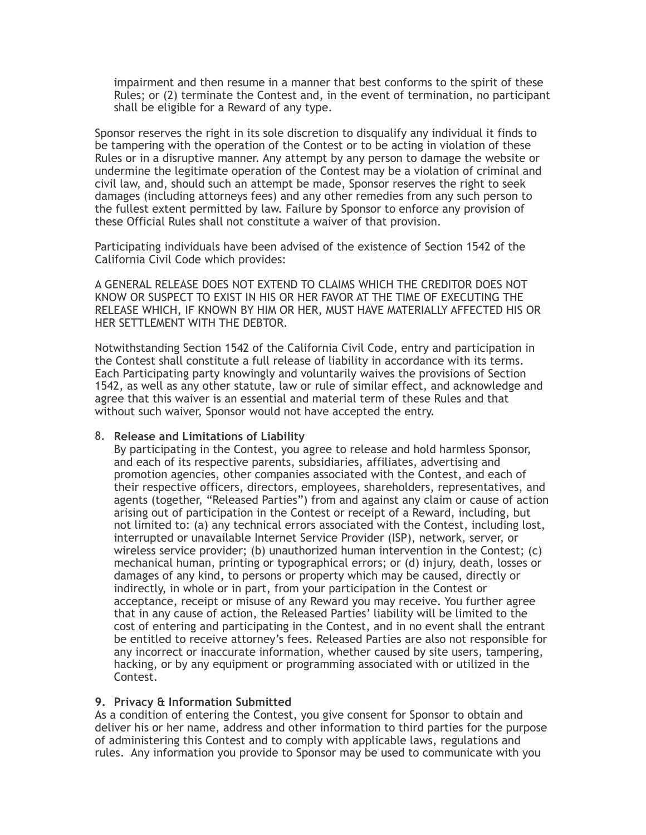impairment and then resume in a manner that best conforms to the spirit of these Rules; or (2) terminate the Contest and, in the event of termination, no participant shall be eligible for a Reward of any type.

Sponsor reserves the right in its sole discretion to disqualify any individual it finds to be tampering with the operation of the Contest or to be acting in violation of these Rules or in a disruptive manner. Any attempt by any person to damage the website or undermine the legitimate operation of the Contest may be a violation of criminal and civil law, and, should such an attempt be made, Sponsor reserves the right to seek damages (including attorneys fees) and any other remedies from any such person to the fullest extent permitted by law. Failure by Sponsor to enforce any provision of these Official Rules shall not constitute a waiver of that provision.

Participating individuals have been advised of the existence of Section 1542 of the California Civil Code which provides:

A GENERAL RELEASE DOES NOT EXTEND TO CLAIMS WHICH THE CREDITOR DOES NOT KNOW OR SUSPECT TO EXIST IN HIS OR HER FAVOR AT THE TIME OF EXECUTING THE RELEASE WHICH, IF KNOWN BY HIM OR HER, MUST HAVE MATERIALLY AFFECTED HIS OR HER SETTLEMENT WITH THE DEBTOR.

Notwithstanding Section 1542 of the California Civil Code, entry and participation in the Contest shall constitute a full release of liability in accordance with its terms. Each Participating party knowingly and voluntarily waives the provisions of Section 1542, as well as any other statute, law or rule of similar effect, and acknowledge and agree that this waiver is an essential and material term of these Rules and that without such waiver, Sponsor would not have accepted the entry.

## 8. **Release and Limitations of Liability**

By participating in the Contest, you agree to release and hold harmless Sponsor, and each of its respective parents, subsidiaries, affiliates, advertising and promotion agencies, other companies associated with the Contest, and each of their respective officers, directors, employees, shareholders, representatives, and agents (together, "Released Parties") from and against any claim or cause of action arising out of participation in the Contest or receipt of a Reward, including, but not limited to: (a) any technical errors associated with the Contest, including lost, interrupted or unavailable Internet Service Provider (ISP), network, server, or wireless service provider; (b) unauthorized human intervention in the Contest; (c) mechanical human, printing or typographical errors; or (d) injury, death, losses or damages of any kind, to persons or property which may be caused, directly or indirectly, in whole or in part, from your participation in the Contest or acceptance, receipt or misuse of any Reward you may receive. You further agree that in any cause of action, the Released Parties' liability will be limited to the cost of entering and participating in the Contest, and in no event shall the entrant be entitled to receive attorney's fees. Released Parties are also not responsible for any incorrect or inaccurate information, whether caused by site users, tampering, hacking, or by any equipment or programming associated with or utilized in the Contest.

## **9. Privacy & Information Submitted**

As a condition of entering the Contest, you give consent for Sponsor to obtain and deliver his or her name, address and other information to third parties for the purpose of administering this Contest and to comply with applicable laws, regulations and rules. Any information you provide to Sponsor may be used to communicate with you